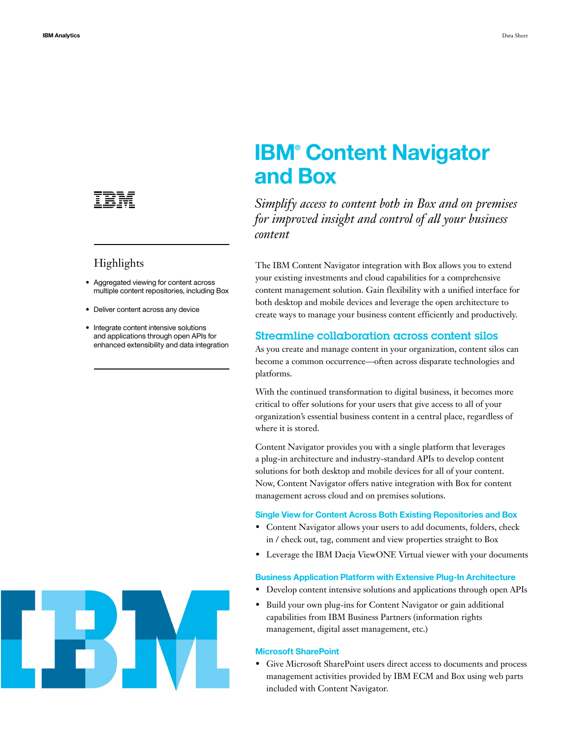# **IBM® Content Navigator and Box**

*Simplify access to content both in Box and on premises for improved insight and control of all your business content*

The IBM Content Navigator integration with Box allows you to extend your existing investments and cloud capabilities for a comprehensive content management solution. Gain flexibility with a unified interface for both desktop and mobile devices and leverage the open architecture to create ways to manage your business content efficiently and productively.

## Streamline collaboration across content silos

As you create and manage content in your organization, content silos can become a common occurrence—often across disparate technologies and platforms.

With the continued transformation to digital business, it becomes more critical to offer solutions for your users that give access to all of your organization's essential business content in a central place, regardless of where it is stored.

• Give Microsoft SharePoint users direct access to documents and process management activities provided by IBM ECM and Box using web parts included with Content Navigator.

Content Navigator provides you with a single platform that leverages a plug-in architecture and industry-standard APIs to develop content solutions for both desktop and mobile devices for all of your content. Now, Content Navigator offers native integration with Box for content management across cloud and on premises solutions.

#### **Single View for Content Across Both Existing Repositories and Box**

• Content Navigator allows your users to add documents, folders, check in / check out, tag, comment and view properties straight to Box



• Leverage the IBM Daeja ViewONE Virtual viewer with your documents

### **Business Application Platform with Extensive Plug-In Architecture**

- Develop content intensive solutions and applications through open APIs
- Build your own plug-ins for Content Navigator or gain additional capabilities from IBM Business Partners (information rights management, digital asset management, etc.)

#### **Microsoft SharePoint**

# Highlights

- Aggregated viewing for content across multiple content repositories, including Box
- Deliver content across any device
- Integrate content intensive solutions and applications through open APIs for enhanced extensibility and data integration